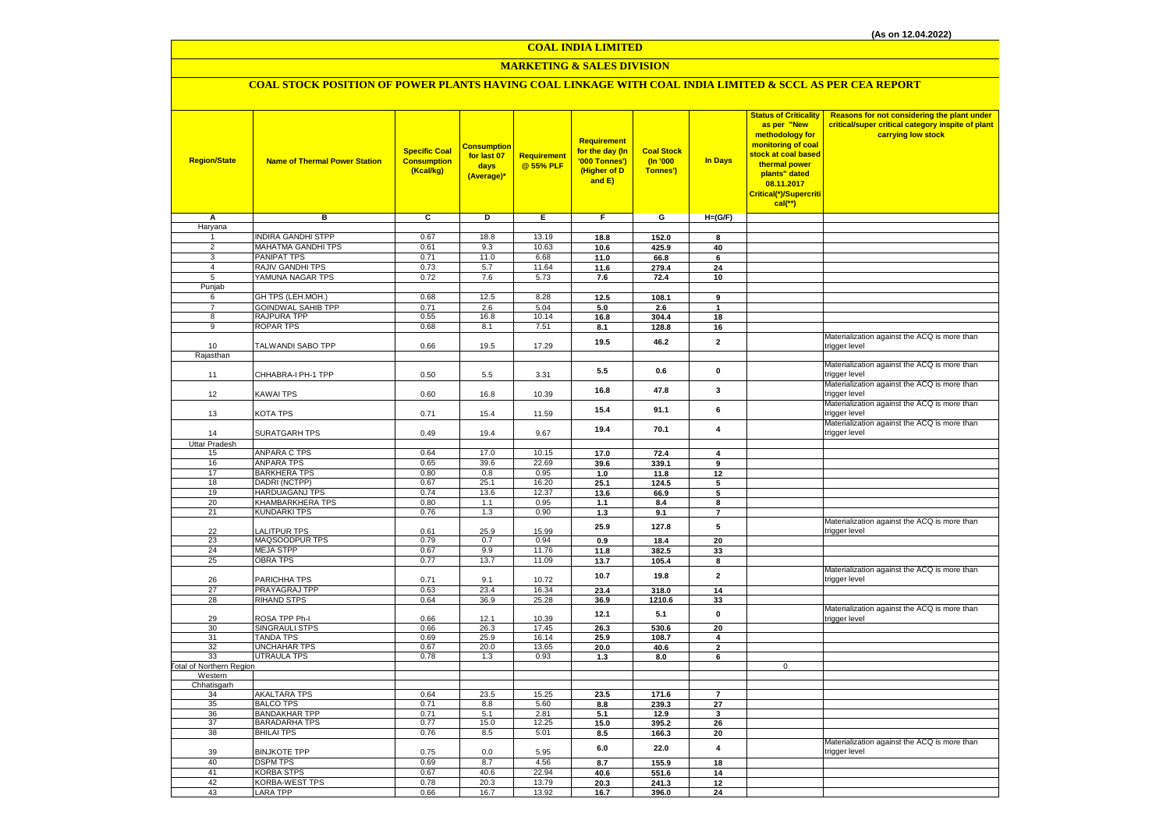# **MARKETING & SALES DIVISION**

## **COAL STOCK POSITION OF POWER PLANTS HAVING COAL LINKAGE WITH COAL INDIA LIMITED & SCCL AS PER CEA REPORT**

| <b>Region/State</b>              | <b>Name of Thermal Power Station</b>     | <b>Specific Coal</b><br><b>Consumption</b><br>(Kcal/kg) | Consumption<br>for last 07<br>days<br>(Average)* | Requirement<br>@ 55% PLF | Requirement<br>for the day (In<br>'000 Tonnes')<br>(Higher of D<br>and E) | <b>Coal Stock</b><br>(In '000<br>Tonnes') | <b>In Days</b>          | <b>Status of Criticality</b><br>as per "New<br>methodology for<br>monitoring of coal<br>stock at coal based<br>thermal power<br>plants" dated<br>08.11.2017<br>Critical(*)/Supercriti<br>$cal$ (**) | Reasons for not considering the plant under<br>critical/super critical category inspite of plant<br>carrying low stock |
|----------------------------------|------------------------------------------|---------------------------------------------------------|--------------------------------------------------|--------------------------|---------------------------------------------------------------------------|-------------------------------------------|-------------------------|-----------------------------------------------------------------------------------------------------------------------------------------------------------------------------------------------------|------------------------------------------------------------------------------------------------------------------------|
| Α                                | в                                        | c                                                       | D                                                | Е                        | F.                                                                        | G                                         | $H=(G/F)$               |                                                                                                                                                                                                     |                                                                                                                        |
| Haryana                          |                                          |                                                         |                                                  |                          |                                                                           |                                           |                         |                                                                                                                                                                                                     |                                                                                                                        |
| 1                                | <b>INDIRA GANDHI STPP</b>                | 0.67                                                    | 18.8                                             | 13.19                    | 18.8                                                                      | 152.0                                     | 8                       |                                                                                                                                                                                                     |                                                                                                                        |
| $\overline{2}$                   | MAHATMA GANDHI TPS                       | 0.61                                                    | 9.3                                              | 10.63                    | 10.6                                                                      | 425.9                                     | 40                      |                                                                                                                                                                                                     |                                                                                                                        |
| $\overline{3}$<br>$\overline{4}$ | PANIPAT TPS<br>RAJIV GANDHI TPS          | 0.71<br>0.73                                            | 11.0<br>5.7                                      | 6.68<br>11.64            | 11.0                                                                      | 66.8                                      | 6                       |                                                                                                                                                                                                     |                                                                                                                        |
| 5                                | YAMUNA NAGAR TPS                         | 0.72                                                    | 7.6                                              | 5.73                     | 11.6                                                                      | 279.4<br>72.4                             | 24<br>10                |                                                                                                                                                                                                     |                                                                                                                        |
| Punjab                           |                                          |                                                         |                                                  |                          | 7.6                                                                       |                                           |                         |                                                                                                                                                                                                     |                                                                                                                        |
| 6                                | GH TPS (LEH.MOH.)                        | 0.68                                                    | 12.5                                             | 8.28                     | 12.5                                                                      | 108.1                                     | 9                       |                                                                                                                                                                                                     |                                                                                                                        |
| $\overline{7}$                   | <b>GOINDWAL SAHIB TPP</b>                | 0.71                                                    | 2.6                                              | 5.04                     | 5.0                                                                       | 2.6                                       | $\mathbf{1}$            |                                                                                                                                                                                                     |                                                                                                                        |
| 8                                | RAJPURA TPP                              | 0.55                                                    | 16.8                                             | 10.14                    | 16.8                                                                      | 304.4                                     | 18                      |                                                                                                                                                                                                     |                                                                                                                        |
| $\overline{9}$                   | <b>ROPAR TPS</b>                         | 0.68                                                    | 8.1                                              | 7.51                     | 8.1                                                                       | 128.8                                     | 16                      |                                                                                                                                                                                                     |                                                                                                                        |
| 10                               | TALWANDI SABO TPP                        | 0.66                                                    | 19.5                                             | 17.29                    | 19.5                                                                      | 46.2                                      | $\mathbf{2}$            |                                                                                                                                                                                                     | Materialization against the ACQ is more than<br>trigger level                                                          |
| Rajasthan                        |                                          |                                                         |                                                  |                          |                                                                           |                                           |                         |                                                                                                                                                                                                     |                                                                                                                        |
| 11                               | CHHABRA-I PH-1 TPP                       | 0.50                                                    | $5.5\,$                                          | 3.31                     | 5.5                                                                       | 0.6                                       | $\mathbf 0$             |                                                                                                                                                                                                     | Materialization against the ACQ is more than<br>trigger level                                                          |
| 12                               | KAWAI TPS                                | 0.60                                                    | 16.8                                             | 10.39                    | 16.8                                                                      | 47.8                                      | 3                       |                                                                                                                                                                                                     | Materialization against the ACQ is more than<br>trigger level                                                          |
| 13                               | KOTA TPS                                 | 0.71                                                    | 15.4                                             | 11.59                    | 15.4                                                                      | 91.1                                      | 6                       |                                                                                                                                                                                                     | Materialization against the ACQ is more than<br>trigger level                                                          |
| 14                               | <b>SURATGARH TPS</b>                     | 0.49                                                    | 19.4                                             | 9.67                     | 19.4                                                                      | 70.1                                      | $\overline{\mathbf{4}}$ |                                                                                                                                                                                                     | Materialization against the ACQ is more than<br>trigger level                                                          |
| <b>Uttar Pradesh</b>             |                                          |                                                         |                                                  |                          |                                                                           |                                           |                         |                                                                                                                                                                                                     |                                                                                                                        |
| 15<br>16                         | <b>ANPARA C TPS</b><br><b>ANPARA TPS</b> | 0.64<br>0.65                                            | 17.0<br>39.6                                     | 10.15<br>22.69           | 17.0                                                                      | 72.4                                      | 4                       |                                                                                                                                                                                                     |                                                                                                                        |
| 17                               | <b>BARKHERA TPS</b>                      | 0.80                                                    | 0.8                                              | 0.95                     | 39.6<br>1.0                                                               | 339.1<br>11.8                             | 9<br>12                 |                                                                                                                                                                                                     |                                                                                                                        |
| 18                               | DADRI (NCTPP)                            | 0.67                                                    | 25.1                                             | 16.20                    | 25.1                                                                      | 124.5                                     | 5                       |                                                                                                                                                                                                     |                                                                                                                        |
| 19                               | HARDUAGANJ TPS                           | 0.74                                                    | 13.6                                             | 12.37                    | 13.6                                                                      | 66.9                                      | 5                       |                                                                                                                                                                                                     |                                                                                                                        |
| 20                               | KHAMBARKHERA TPS                         | 0.80                                                    | 1.1                                              | 0.95                     | 1.1                                                                       | 8.4                                       | 8                       |                                                                                                                                                                                                     |                                                                                                                        |
| 21                               | <b>KUNDARKI TPS</b>                      | 0.76                                                    | 1.3                                              | 0.90                     | $1.3$                                                                     | 9.1                                       | $\overline{7}$          |                                                                                                                                                                                                     |                                                                                                                        |
| 22                               | <b>ALITPUR TPS</b>                       | 0.61                                                    | 25.9                                             | 15.99                    | 25.9                                                                      | 127.8                                     | 5                       |                                                                                                                                                                                                     | Materialization against the ACQ is more than<br>trigger level                                                          |
| 23                               | MAQSOODPUR TPS                           | 0.79                                                    | 0.7                                              | 0.94                     | 0.9                                                                       | 18.4                                      | 20                      |                                                                                                                                                                                                     |                                                                                                                        |
| 24                               | <b>MEJA STPP</b>                         | 0.67                                                    | 9.9                                              | 11.76                    | 11.8                                                                      | 382.5                                     | 33                      |                                                                                                                                                                                                     |                                                                                                                        |
| 25                               | <b>OBRA TPS</b>                          | 0.77                                                    | 13.7                                             | 11.09                    | 13.7                                                                      | 105.4                                     | 8                       |                                                                                                                                                                                                     |                                                                                                                        |
| 26                               | PARICHHA TPS                             | 0.71                                                    | 9.1                                              | 10.72                    | 10.7                                                                      | 19.8                                      | $\mathbf{2}$            |                                                                                                                                                                                                     | Materialization against the ACQ is more than<br>trigger level                                                          |
| 27                               | PRAYAGRAJ TPP                            | 0.63                                                    | 23.4                                             | 16.34                    | 23.4                                                                      | 318.0                                     | 14                      |                                                                                                                                                                                                     |                                                                                                                        |
| 28                               | <b>RIHAND STPS</b>                       | 0.64                                                    | 36.9                                             | 25.28                    | 36.9                                                                      | 1210.6                                    | 33                      |                                                                                                                                                                                                     |                                                                                                                        |
| 29<br>30                         | ROSA TPP Ph-I<br>SINGRAULI STPS          | 0.66<br>0.66                                            | 12.1<br>26.3                                     | 10.39<br>17.45           | 12.1<br>26.3                                                              | 5.1<br>530.6                              | $\mathbf{0}$<br>20      |                                                                                                                                                                                                     | Materialization against the ACQ is more than<br>trigger level                                                          |
| 31                               | <b>TANDA TPS</b>                         | 0.69                                                    | 25.9                                             | 16.14                    | 25.9                                                                      | 108.7                                     | 4                       |                                                                                                                                                                                                     |                                                                                                                        |
| 32                               | UNCHAHAR TPS                             | 0.67                                                    | 20.0                                             | 13.65                    | 20.0                                                                      | 40.6                                      | $\mathbf{2}$            |                                                                                                                                                                                                     |                                                                                                                        |
| 33                               | <b>UTRAULA TPS</b>                       | 0.78                                                    | 1.3                                              | 0.93                     | 1.3                                                                       | 8.0                                       | 6                       |                                                                                                                                                                                                     |                                                                                                                        |
| <b>Total of Northern Region</b>  |                                          |                                                         |                                                  |                          |                                                                           |                                           |                         | $\mathbf 0$                                                                                                                                                                                         |                                                                                                                        |
| Western                          |                                          |                                                         |                                                  |                          |                                                                           |                                           |                         |                                                                                                                                                                                                     |                                                                                                                        |
| Chhatisgarh                      |                                          |                                                         |                                                  |                          |                                                                           |                                           |                         |                                                                                                                                                                                                     |                                                                                                                        |
| 34<br>35                         | <b>AKALTARA TPS</b><br><b>BALCO TPS</b>  | 0.64<br>0.71                                            | 23.5<br>8.8                                      | 15.25<br>5.60            | 23.5<br>8.8                                                               | 171.6<br>239.3                            | $\overline{7}$<br>27    |                                                                                                                                                                                                     |                                                                                                                        |
| 36                               | <b>BANDAKHAR TPP</b>                     | 0.71                                                    | 5.1                                              | 2.81                     | 5.1                                                                       | 12.9                                      | 3                       |                                                                                                                                                                                                     |                                                                                                                        |
| 37                               | <b>BARADARHA TPS</b>                     | 0.77                                                    | 15.0                                             | 12.25                    | 15.0                                                                      | 395.2                                     | 26                      |                                                                                                                                                                                                     |                                                                                                                        |
| 38                               | <b>BHILAI TPS</b>                        | 0.76                                                    | 8.5                                              | 5.01                     | 8.5                                                                       | 166.3                                     | 20                      |                                                                                                                                                                                                     |                                                                                                                        |
| 39                               | <b>BINJKOTE TPP</b>                      | 0.75                                                    | 0.0                                              | 5.95                     | 6.0                                                                       | 22.0                                      | 4                       |                                                                                                                                                                                                     | Materialization against the ACQ is more than<br>trigger level                                                          |
| 40                               | <b>DSPM TPS</b>                          | 0.69                                                    | 8.7                                              | 4.56                     | 8.7                                                                       | 155.9                                     | 18                      |                                                                                                                                                                                                     |                                                                                                                        |
| 41                               | <b>KORBA STPS</b>                        | 0.67                                                    | 40.6                                             | 22.94                    | 40.6                                                                      | 551.6                                     | 14                      |                                                                                                                                                                                                     |                                                                                                                        |
| 42                               | KORBA-WEST TPS                           | 0.78                                                    | 20.3                                             | 13.79                    | 20.3                                                                      | 241.3                                     | 12                      |                                                                                                                                                                                                     |                                                                                                                        |
| 43                               | <b>LARA TPP</b>                          | 0.66                                                    | 16.7                                             | 13.92                    | 16.7                                                                      | 396.0                                     | 24                      |                                                                                                                                                                                                     |                                                                                                                        |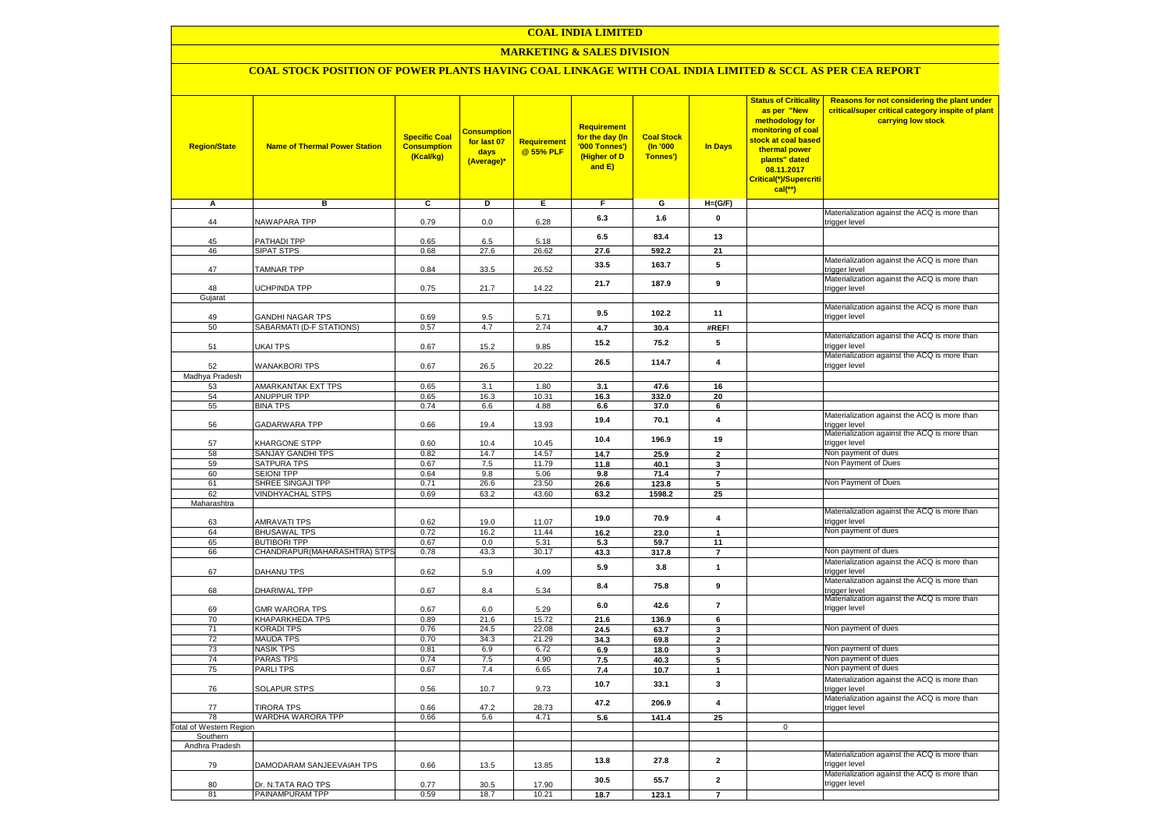### **MARKETING & SALES DIVISION**

### **COAL STOCK POSITION OF POWER PLANTS HAVING COAL LINKAGE WITH COAL INDIA LIMITED & SCCL AS PER CEA REPORT**

| <b>Region/State</b>        | <b>Name of Thermal Power Station</b>   | <b>Specific Coal</b><br><b>Consumption</b><br>(Kcal/kg) | <mark>Consumption</mark><br>for last 07<br>days<br>(Average)* | <b>Requirement</b><br>@ 55% PLF | <b>Requirement</b><br>for the day (In<br>'000 Tonnes')<br>(Higher of D<br>and E) | <b>Coal Stock</b><br>(In '000<br>Tonnes') | <b>In Days</b>          | <b>Status of Criticality</b><br>as per "New<br>methodology for<br>monitoring of coal<br>stock at coal based<br>thermal power<br>plants" dated<br>08.11.2017<br>Critical(*)/Supercriti<br>$cal$ (**) | Reasons for not considering the plant under<br>critical/super critical category inspite of plant<br>carrying low stock |
|----------------------------|----------------------------------------|---------------------------------------------------------|---------------------------------------------------------------|---------------------------------|----------------------------------------------------------------------------------|-------------------------------------------|-------------------------|-----------------------------------------------------------------------------------------------------------------------------------------------------------------------------------------------------|------------------------------------------------------------------------------------------------------------------------|
| А                          | в                                      | c                                                       | Þ                                                             | Е                               | F                                                                                | G                                         | $H=(G/F)$               |                                                                                                                                                                                                     |                                                                                                                        |
| 44                         | <b>NAWAPARA TPP</b>                    | 0.79                                                    | 0.0                                                           | 6.28                            | 6.3                                                                              | 1.6                                       | 0                       |                                                                                                                                                                                                     | Materialization against the ACQ is more than                                                                           |
|                            |                                        |                                                         |                                                               |                                 |                                                                                  |                                           |                         |                                                                                                                                                                                                     | trigger level                                                                                                          |
| 45                         | <b>PATHADI TPP</b>                     | 0.65                                                    | 6.5                                                           | 5.18                            | 6.5                                                                              | 83.4                                      | 13                      |                                                                                                                                                                                                     |                                                                                                                        |
| 46                         | SIPAT STPS                             | 0.68                                                    | 27.6                                                          | 26.62                           | 27.6                                                                             | 592.2                                     | 21                      |                                                                                                                                                                                                     |                                                                                                                        |
| 47                         | <b>TAMNAR TPP</b>                      | 0.84                                                    | 33.5                                                          | 26.52                           | 33.5                                                                             | 163.7                                     | 5                       |                                                                                                                                                                                                     | Materialization against the ACQ is more than<br>trigger level                                                          |
|                            |                                        |                                                         |                                                               |                                 | 21.7                                                                             | 187.9                                     | 9                       |                                                                                                                                                                                                     | Materialization against the ACQ is more than                                                                           |
| 48<br>Gujarat              | <b>JCHPINDA TPP</b>                    | 0.75                                                    | 21.7                                                          | 14.22                           |                                                                                  |                                           |                         |                                                                                                                                                                                                     | trigger level                                                                                                          |
|                            |                                        |                                                         |                                                               |                                 |                                                                                  |                                           |                         |                                                                                                                                                                                                     | Materialization against the ACQ is more than                                                                           |
| 49                         | <b>GANDHI NAGAR TPS</b>                | 0.69                                                    | 9.5                                                           | 5.71                            | 9.5                                                                              | 102.2                                     | 11                      |                                                                                                                                                                                                     | trigger level                                                                                                          |
| 50                         | SABARMATI (D-F STATIONS)               | 0.57                                                    | 4.7                                                           | 2.74                            | 4.7                                                                              | 30.4                                      | #REF!                   |                                                                                                                                                                                                     |                                                                                                                        |
| 51                         | UKAI TPS                               | 0.67                                                    | 15.2                                                          | 9.85                            | 15.2                                                                             | 75.2                                      | 5                       |                                                                                                                                                                                                     | Materialization against the ACQ is more than<br>trigger level                                                          |
| 52                         | <b>WANAKBORI TPS</b>                   | 0.67                                                    | 26.5                                                          | 20.22                           | 26.5                                                                             | 114.7                                     | 4                       |                                                                                                                                                                                                     | Materialization against the ACQ is more than<br>trigger level                                                          |
| Madhya Pradesh             |                                        |                                                         |                                                               |                                 |                                                                                  |                                           |                         |                                                                                                                                                                                                     |                                                                                                                        |
| 53                         | AMARKANTAK EXT TPS                     | 0.65                                                    | 3.1                                                           | 1.80                            | 3.1                                                                              | 47.6                                      | 16                      |                                                                                                                                                                                                     |                                                                                                                        |
| 54<br>55                   | <b>ANUPPUR TPP</b><br><b>BINA TPS</b>  | 0.65<br>0.74                                            | 16.3<br>6.6                                                   | 10.31<br>4.88                   | 16.3<br>6.6                                                                      | 332.0<br>37.0                             | 20<br>6                 |                                                                                                                                                                                                     |                                                                                                                        |
|                            |                                        |                                                         |                                                               |                                 |                                                                                  |                                           |                         |                                                                                                                                                                                                     | Materialization against the ACQ is more than                                                                           |
| 56                         | GADARWARA TPP                          | 0.66                                                    | 19.4                                                          | 13.93                           | 19.4                                                                             | 70.1                                      | $\overline{\mathbf{4}}$ |                                                                                                                                                                                                     | trigger level<br>Materialization against the ACQ is more than                                                          |
| 57                         | KHARGONE STPP                          | 0.60                                                    | 10.4                                                          | 10.45                           | 10.4                                                                             | 196.9                                     | 19                      |                                                                                                                                                                                                     | trigger level                                                                                                          |
| 58                         | SANJAY GANDHI TPS                      | 0.82                                                    | 14.7                                                          | 14.57                           | 14.7                                                                             | 25.9                                      | $\overline{\mathbf{2}}$ |                                                                                                                                                                                                     | Non payment of dues                                                                                                    |
| 59                         | SATPURA TPS                            | 0.67                                                    | 7.5                                                           | 11.79                           | 11.8                                                                             | 40.1                                      | 3                       |                                                                                                                                                                                                     | Non Payment of Dues                                                                                                    |
| 60<br>61                   | <b>SEIONI TPP</b><br>SHREE SINGAJI TPP | 0.64<br>0.71                                            | 9.8<br>26.6                                                   | 5.06<br>23.50                   | 9.8<br>26.6                                                                      | 71.4<br>123.8                             | $\overline{7}$<br>5     |                                                                                                                                                                                                     | Non Payment of Dues                                                                                                    |
| 62                         | <b>VINDHYACHAL STPS</b>                | 0.69                                                    | 63.2                                                          | 43.60                           | 63.2                                                                             | 1598.2                                    | 25                      |                                                                                                                                                                                                     |                                                                                                                        |
| Maharashtra                |                                        |                                                         |                                                               |                                 |                                                                                  |                                           |                         |                                                                                                                                                                                                     |                                                                                                                        |
|                            |                                        |                                                         |                                                               |                                 | 19.0                                                                             | 70.9                                      | $\overline{\mathbf{4}}$ |                                                                                                                                                                                                     | Materialization against the ACQ is more than                                                                           |
| 63<br>64                   | AMRAVATI TPS<br><b>BHUSAWAL TPS</b>    | 0.62<br>0.72                                            | 19.0<br>16.2                                                  | 11.07<br>11.44                  | 16.2                                                                             | 23.0                                      | $\mathbf{1}$            |                                                                                                                                                                                                     | trigger level<br>Non payment of dues                                                                                   |
| 65                         | <b>BUTIBORI TPP</b>                    | 0.67                                                    | 0.0                                                           | 5.31                            | 5.3                                                                              | 59.7                                      | 11                      |                                                                                                                                                                                                     |                                                                                                                        |
| 66                         | CHANDRAPUR(MAHARASHTRA) STPS           | 0.78                                                    | 43.3                                                          | 30.17                           | 43.3                                                                             | 317.8                                     | $\overline{7}$          |                                                                                                                                                                                                     | Non payment of dues                                                                                                    |
|                            |                                        |                                                         |                                                               |                                 | 5.9                                                                              | 3.8                                       | $\mathbf{1}$            |                                                                                                                                                                                                     | Materialization against the ACQ is more than                                                                           |
| 67                         | DAHANU TPS                             | 0.62                                                    | 5.9                                                           | 4.09                            |                                                                                  |                                           |                         |                                                                                                                                                                                                     | trigger level                                                                                                          |
| 68                         | DHARIWAL TPP                           | 0.67                                                    | 8.4                                                           | 5.34                            | 8.4                                                                              | 75.8                                      | 9                       |                                                                                                                                                                                                     | Materialization against the ACQ is more than<br>trigger level                                                          |
| 69                         | <b>GMR WARORA TPS</b>                  | 0.67                                                    | 6.0                                                           | 5.29                            | 6.0                                                                              | 42.6                                      | $\overline{7}$          |                                                                                                                                                                                                     | Materialization against the ACQ is more than<br>trigger level                                                          |
| 70                         | KHAPARKHEDA TPS                        | 0.89                                                    | 21.6                                                          | 15.72                           | 21.6                                                                             | 136.9                                     | 6                       |                                                                                                                                                                                                     |                                                                                                                        |
| 71<br>72                   | KORADI TPS<br><b>MAUDA TPS</b>         | 0.76<br>0.70                                            | 24.5<br>34.3                                                  | 22.08<br>21.29                  | 24.5<br>34.3                                                                     | 63.7<br>69.8                              | 3<br>$\mathbf{2}$       |                                                                                                                                                                                                     | Non payment of dues                                                                                                    |
| 73                         | <b>NASIK TPS</b>                       | 0.81                                                    | 6.9                                                           | 6.72                            | 6.9                                                                              | 18.0                                      | 3                       |                                                                                                                                                                                                     | Non payment of dues                                                                                                    |
| 74                         | PARAS TPS                              | 0.74                                                    | 7.5                                                           | 4.90                            | 7.5                                                                              | 40.3                                      | 5                       |                                                                                                                                                                                                     | Non payment of dues                                                                                                    |
| 75                         | <b>PARLITPS</b>                        | 0.67                                                    | 7.4                                                           | 6.65                            | 7.4                                                                              | 10.7                                      | $\mathbf{1}$            |                                                                                                                                                                                                     | Non payment of dues                                                                                                    |
| 76                         | <b>SOLAPUR STPS</b>                    | 0.56                                                    | 10.7                                                          | 9.73                            | 10.7                                                                             | 33.1                                      | 3                       |                                                                                                                                                                                                     | Materialization against the ACQ is more than<br>trigger level                                                          |
| 77                         | <b>TIRORA TPS</b>                      | 0.66                                                    | 47.2                                                          | 28.73                           | 47.2                                                                             | 206.9                                     | $\overline{\mathbf{4}}$ |                                                                                                                                                                                                     | Materialization against the ACQ is more than<br>trigger level                                                          |
| 78                         | WARDHA WARORA TPP                      | 0.66                                                    | 5.6                                                           | 4.71                            | 5.6                                                                              | 141.4                                     | 25                      |                                                                                                                                                                                                     |                                                                                                                        |
| otal of Western Region     |                                        |                                                         |                                                               |                                 |                                                                                  |                                           |                         | $\mathbf 0$                                                                                                                                                                                         |                                                                                                                        |
| Southern<br>Andhra Pradesh |                                        |                                                         |                                                               |                                 |                                                                                  |                                           |                         |                                                                                                                                                                                                     |                                                                                                                        |
|                            | DAMODARAM SANJEEVAIAH TPS              |                                                         |                                                               |                                 | 13.8                                                                             | 27.8                                      | $\mathbf{2}$            |                                                                                                                                                                                                     | Materialization against the ACQ is more than<br>trigger level                                                          |
| 79                         |                                        | 0.66                                                    | 13.5                                                          | 13.85                           | 30.5                                                                             | 55.7                                      | $\mathbf{2}$            |                                                                                                                                                                                                     | Materialization against the ACQ is more than                                                                           |
| 80<br>81                   | Dr. N.TATA RAO TPS<br>PAINAMPURAM TPP  | 0.77<br>0.59                                            | 30.5<br>18.7                                                  | 17.90<br>10.21                  | 18.7                                                                             | 123.1                                     | $\overline{7}$          |                                                                                                                                                                                                     | trigger level                                                                                                          |
|                            |                                        |                                                         |                                                               |                                 |                                                                                  |                                           |                         |                                                                                                                                                                                                     |                                                                                                                        |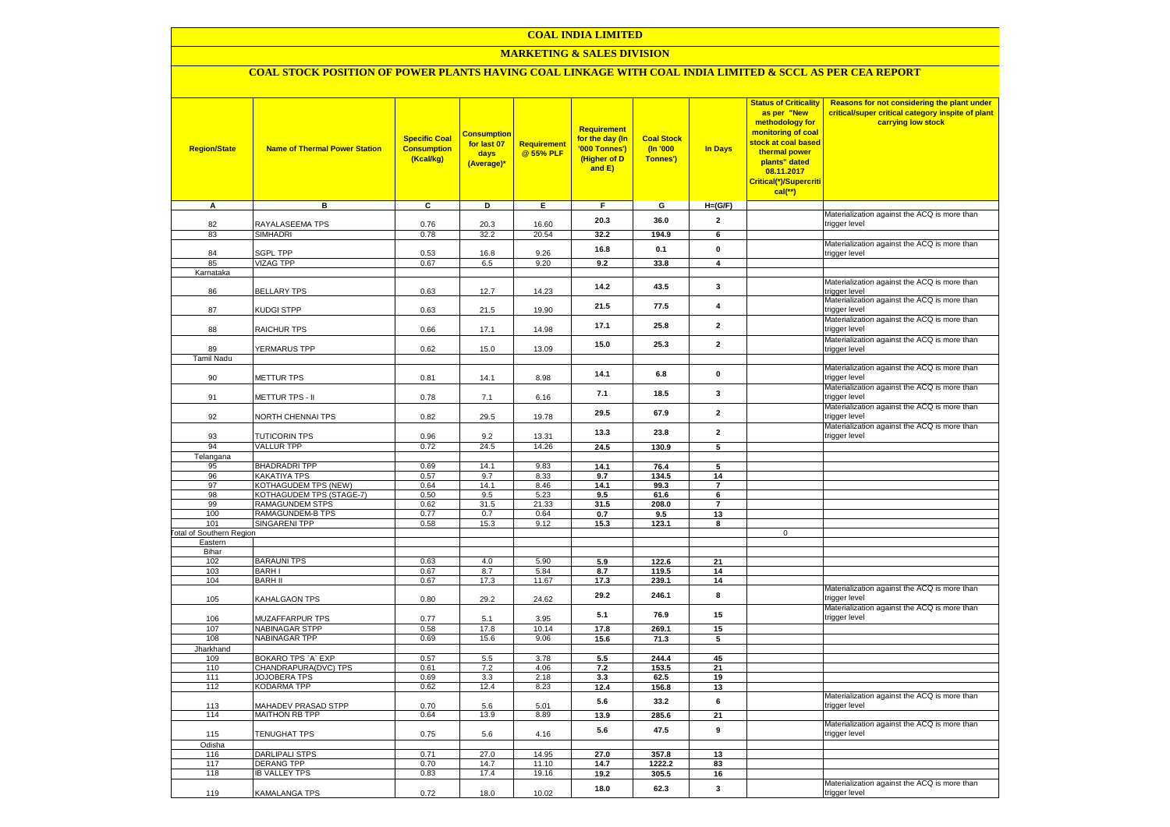### **MARKETING & SALES DIVISION**

# **COAL STOCK POSITION OF POWER PLANTS HAVING COAL LINKAGE WITH COAL INDIA LIMITED & SCCL AS PER CEA REPORT**

| <b>Region/State</b>                        | <b>Name of Thermal Power Station</b>          | <b>Specific Coal</b><br><b>Consumption</b><br>(Kcal/kg) | <b>Consumption</b><br>for last 07<br>days<br>(Average)* | <b>Requirement</b><br>@ 55% PLF | Requirement<br>for the day (In<br>'000 Tonnes')<br>(Higher of D<br>and E) | <b>Coal Stock</b><br>$($ ln '000<br>Tonnes') | In Days                 | <b>Status of Criticality</b><br>as per "New<br>methodology for<br>monitoring of coal<br>stock at coal based<br>thermal power<br>plants" dated<br>08.11.2017<br>Critical(*)/Supercriti<br>$cal$ (**) | Reasons for not considering the plant under<br>critical/super critical category inspite of plant<br>carrying low stock |
|--------------------------------------------|-----------------------------------------------|---------------------------------------------------------|---------------------------------------------------------|---------------------------------|---------------------------------------------------------------------------|----------------------------------------------|-------------------------|-----------------------------------------------------------------------------------------------------------------------------------------------------------------------------------------------------|------------------------------------------------------------------------------------------------------------------------|
| A                                          | в                                             | c                                                       | D                                                       | Е                               | F.                                                                        | G                                            | $H=(G/F)$               |                                                                                                                                                                                                     |                                                                                                                        |
| 82                                         | RAYALASEEMA TPS                               | 0.76                                                    | 20.3                                                    | 16.60                           | 20.3                                                                      | 36.0                                         | $\mathbf{2}$            |                                                                                                                                                                                                     | Materialization against the ACQ is more than<br>trigger level                                                          |
| 83                                         | SIMHADRI                                      | 0.78                                                    | 32.2                                                    | 20.54                           | 32.2                                                                      | 194.9                                        | 6                       |                                                                                                                                                                                                     |                                                                                                                        |
|                                            |                                               |                                                         |                                                         |                                 | 16.8                                                                      | 0.1                                          | $\pmb{0}$               |                                                                                                                                                                                                     | Materialization against the ACQ is more than                                                                           |
| 84                                         | <b>SGPL TPP</b>                               | 0.53                                                    | 16.8                                                    | 9.26                            |                                                                           |                                              |                         |                                                                                                                                                                                                     | trigger level                                                                                                          |
| 85<br>Karnataka                            | <b>VIZAG TPP</b>                              | 0.67                                                    | 6.5                                                     | 9.20                            | 9.2                                                                       | 33.8                                         | $\overline{\mathbf{4}}$ |                                                                                                                                                                                                     |                                                                                                                        |
|                                            |                                               |                                                         |                                                         |                                 |                                                                           |                                              |                         |                                                                                                                                                                                                     | Materialization against the ACQ is more than                                                                           |
| 86                                         | <b>BELLARY TPS</b>                            | 0.63                                                    | 12.7                                                    | 14.23                           | 14.2                                                                      | 43.5                                         | 3                       |                                                                                                                                                                                                     | trigger level                                                                                                          |
| 87                                         | KUDGI STPP                                    | 0.63                                                    | 21.5                                                    | 19.90                           | 21.5                                                                      | 77.5                                         | 4                       |                                                                                                                                                                                                     | Materialization against the ACQ is more than<br>trigger level                                                          |
| 88                                         | <b>RAICHUR TPS</b>                            | 0.66                                                    | 17.1                                                    | 14.98                           | 17.1                                                                      | 25.8                                         | $\overline{2}$          |                                                                                                                                                                                                     | Materialization against the ACQ is more than<br>trigger level                                                          |
| 89                                         | <b>YERMARUS TPP</b>                           | 0.62                                                    | 15.0                                                    | 13.09                           | 15.0                                                                      | 25.3                                         | $\overline{2}$          |                                                                                                                                                                                                     | Materialization against the ACQ is more than                                                                           |
| <b>Tamil Nadu</b>                          |                                               |                                                         |                                                         |                                 |                                                                           |                                              |                         |                                                                                                                                                                                                     | trigger level                                                                                                          |
| 90                                         | <b>METTUR TPS</b>                             | 0.81                                                    | 14.1                                                    | 8.98                            | 14.1                                                                      | 6.8                                          | $\mathbf 0$             |                                                                                                                                                                                                     | Materialization against the ACQ is more than<br>trigger level                                                          |
| 91                                         | METTUR TPS - II                               | 0.78                                                    | 7.1                                                     | 6.16                            | 7.1                                                                       | 18.5                                         | 3                       |                                                                                                                                                                                                     | Materialization against the ACQ is more than<br>trigger level                                                          |
| 92                                         | <b>VORTH CHENNAI TPS</b>                      | 0.82                                                    | 29.5                                                    | 19.78                           | 29.5                                                                      | 67.9                                         | $\mathbf{2}$            |                                                                                                                                                                                                     | Materialization against the ACQ is more than<br>trigger level                                                          |
| 93                                         | <b>TUTICORIN TPS</b>                          | 0.96                                                    | 9.2                                                     | 13.31                           | 13.3                                                                      | 23.8                                         | $\mathbf{2}$            |                                                                                                                                                                                                     | Materialization against the ACQ is more than<br>trigger level                                                          |
| 94                                         | <b>VALLUR TPP</b>                             | 0.72                                                    | 24.5                                                    | 14.26                           | 24.5                                                                      | 130.9                                        | $5\overline{)}$         |                                                                                                                                                                                                     |                                                                                                                        |
| Telangana                                  |                                               |                                                         |                                                         |                                 |                                                                           |                                              |                         |                                                                                                                                                                                                     |                                                                                                                        |
| 95                                         | <b>BHADRADRI TPP</b>                          | 0.69                                                    | 14.1                                                    | 9.83                            | 14.1                                                                      | 76.4                                         | 5                       |                                                                                                                                                                                                     |                                                                                                                        |
| 96<br>97                                   | KAKATIYA TPS<br>KOTHAGUDEM TPS (NEW)          | 0.57<br>0.64                                            | 9.7<br>14.1                                             | 8.33<br>8.46                    | 9.7<br>14.1                                                               | 134.5<br>99.3                                | 14<br>$\overline{7}$    |                                                                                                                                                                                                     |                                                                                                                        |
| 98                                         | KOTHAGUDEM TPS (STAGE-7)                      | 0.50                                                    | 9.5                                                     | 5.23                            | 9.5                                                                       | 61.6                                         | 6                       |                                                                                                                                                                                                     |                                                                                                                        |
| 99                                         | <b>RAMAGUNDEM STPS</b>                        | 0.62                                                    | 31.5                                                    | 21.33                           | 31.5                                                                      | 208.0                                        | $\overline{7}$          |                                                                                                                                                                                                     |                                                                                                                        |
| 100                                        | RAMAGUNDEM-B TPS                              | 0.77                                                    | 0.7                                                     | 0.64                            | 0.7                                                                       | 9.5                                          | 13                      |                                                                                                                                                                                                     |                                                                                                                        |
| 101                                        | <b>SINGARENI TPP</b>                          | 0.58                                                    | 15.3                                                    | 9.12                            | 15.3                                                                      | 123.1                                        | 8                       |                                                                                                                                                                                                     |                                                                                                                        |
| <b>Fotal of Southern Region</b><br>Eastern |                                               |                                                         |                                                         |                                 |                                                                           |                                              |                         | $\mathbf 0$                                                                                                                                                                                         |                                                                                                                        |
| Bihar                                      |                                               |                                                         |                                                         |                                 |                                                                           |                                              |                         |                                                                                                                                                                                                     |                                                                                                                        |
| 102                                        | <b>BARAUNI TPS</b>                            | 0.63                                                    | 4.0                                                     | 5.90                            | 5.9                                                                       | 122.6                                        | 21                      |                                                                                                                                                                                                     |                                                                                                                        |
| 103                                        | <b>BARHI</b>                                  | 0.67                                                    | 8.7                                                     | 5.84                            | 8.7                                                                       | 119.5                                        | 14                      |                                                                                                                                                                                                     |                                                                                                                        |
| 104                                        | <b>BARH II</b>                                | 0.67                                                    | 17.3                                                    | 11.67                           | 17.3                                                                      | 239.1                                        | 14                      |                                                                                                                                                                                                     |                                                                                                                        |
| 105                                        | KAHALGAON TPS                                 | 0.80                                                    | 29.2                                                    | 24.62                           | 29.2                                                                      | 246.1                                        | 8                       |                                                                                                                                                                                                     | Materialization against the ACQ is more than<br>trigger level<br>Materialization against the ACQ is more than          |
| 106                                        | MUZAFFARPUR TPS                               | 0.77                                                    | 5.1                                                     | 3.95                            | 5.1                                                                       | 76.9                                         | 15                      |                                                                                                                                                                                                     | trigger level                                                                                                          |
| 107<br>108                                 | <b>NABINAGAR STPP</b><br><b>NABINAGAR TPP</b> | 0.58<br>0.69                                            | 17.8<br>15.6                                            | 10.14<br>9.06                   | 17.8<br>15.6                                                              | 269.1<br>71.3                                | 15<br>5                 |                                                                                                                                                                                                     |                                                                                                                        |
| Jharkhand                                  |                                               |                                                         |                                                         |                                 |                                                                           |                                              |                         |                                                                                                                                                                                                     |                                                                                                                        |
| 109                                        | BOKARO TPS `A` EXP                            | 0.57                                                    | 5.5                                                     | 3.78                            | 5.5                                                                       | 244.4                                        | 45                      |                                                                                                                                                                                                     |                                                                                                                        |
| 110                                        | CHANDRAPURA(DVC) TPS                          | 0.61                                                    | 7.2                                                     | 4.06                            | 7.2                                                                       | 153.5                                        | 21                      |                                                                                                                                                                                                     |                                                                                                                        |
| 111                                        | <b>JOJOBERA TPS</b>                           | 0.69                                                    | 3.3                                                     | 2.18                            | 3.3                                                                       | 62.5                                         | 19                      |                                                                                                                                                                                                     |                                                                                                                        |
| 112                                        | KODARMA TPP                                   | 0.62                                                    | 12.4                                                    | 8.23                            | 12.4                                                                      | 156.8                                        | 13                      |                                                                                                                                                                                                     | Materialization against the ACQ is more than                                                                           |
| 113                                        | <b>MAHADEV PRASAD STPP</b>                    | 0.70                                                    | 5.6                                                     | 5.01                            | 5.6                                                                       | 33.2                                         | 6                       |                                                                                                                                                                                                     | trigger level                                                                                                          |
| 114                                        | <b>MAITHON RB TPP</b>                         | 0.64                                                    | 13.9                                                    | 8.89                            | 13.9                                                                      | 285.6                                        | 21                      |                                                                                                                                                                                                     | Materialization against the ACQ is more than                                                                           |
| 115                                        | <b>TENUGHAT TPS</b>                           | 0.75                                                    | 5.6                                                     | 4.16                            | 5.6                                                                       | 47.5                                         | 9                       |                                                                                                                                                                                                     | trigger level                                                                                                          |
| Odisha<br>116                              | <b>DARLIPALI STPS</b>                         | 0.71                                                    | 27.0                                                    | 14.95                           | 27.0                                                                      | 357.8                                        | 13                      |                                                                                                                                                                                                     |                                                                                                                        |
| 117                                        | <b>DERANG TPP</b>                             | 0.70                                                    | 14.7                                                    | 11.10                           | 14.7                                                                      | 1222.2                                       | 83                      |                                                                                                                                                                                                     |                                                                                                                        |
| 118                                        | <b>IB VALLEY TPS</b>                          | 0.83                                                    | 17.4                                                    | 19.16                           | 19.2                                                                      | 305.5                                        | 16                      |                                                                                                                                                                                                     |                                                                                                                        |
|                                            |                                               |                                                         |                                                         |                                 | 18.0                                                                      | 62.3                                         | 3                       |                                                                                                                                                                                                     | Materialization against the ACQ is more than                                                                           |
| 119                                        | KAMALANGA TPS                                 | 0.72                                                    | 18.0                                                    | 10.02                           |                                                                           |                                              |                         |                                                                                                                                                                                                     | trigger level                                                                                                          |